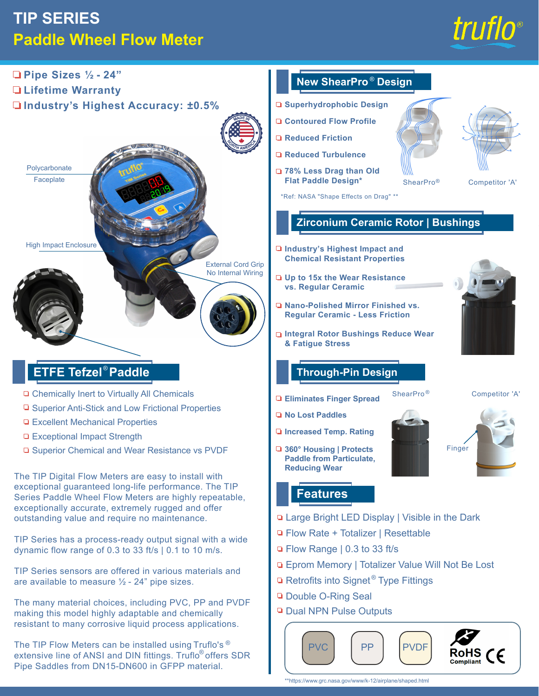# **TIP SERIES Paddle Wheel Flow Meter**